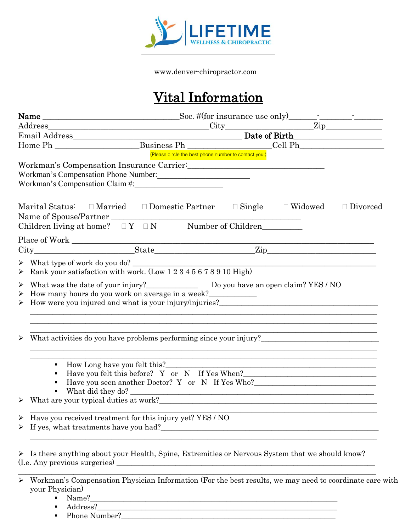

www.denver-chiropractor.com

# Vital Information

|                                                                                                                                              | (Please circle the best phone number to contact you.) |                                                                                                                      |                 |
|----------------------------------------------------------------------------------------------------------------------------------------------|-------------------------------------------------------|----------------------------------------------------------------------------------------------------------------------|-----------------|
|                                                                                                                                              |                                                       |                                                                                                                      |                 |
| Workman's Compensation Phone Number:                                                                                                         |                                                       |                                                                                                                      |                 |
|                                                                                                                                              |                                                       |                                                                                                                      |                 |
| Marital Status: $\square$ Married $\square$ Domestic Partner $\square$ Single $\square$ Widowed                                              |                                                       |                                                                                                                      | $\Box$ Divorced |
| $\begin{tabular}{ll} Name of Spouse/Partner \\ Children living at home? & $\square$ Y & $\square$ N & & Number of Children \\ \end{tabular}$ |                                                       |                                                                                                                      |                 |
|                                                                                                                                              |                                                       |                                                                                                                      |                 |
|                                                                                                                                              |                                                       |                                                                                                                      |                 |
|                                                                                                                                              |                                                       |                                                                                                                      |                 |
| > Rank your satisfaction with work. (Low 1 2 3 4 5 6 7 8 9 10 High)                                                                          |                                                       |                                                                                                                      |                 |
|                                                                                                                                              |                                                       |                                                                                                                      |                 |
| How many hours do you work on average in a week?<br>$\blacktriangleright$                                                                    |                                                       |                                                                                                                      |                 |
| $\triangleright$ How were you injured and what is your injury/injuries?                                                                      |                                                       |                                                                                                                      |                 |
|                                                                                                                                              |                                                       |                                                                                                                      |                 |
|                                                                                                                                              |                                                       |                                                                                                                      |                 |
|                                                                                                                                              |                                                       |                                                                                                                      |                 |
| What activities do you have problems performing since your injury?                                                                           |                                                       |                                                                                                                      |                 |
|                                                                                                                                              |                                                       |                                                                                                                      |                 |
| $\blacksquare$                                                                                                                               |                                                       | <u> 1989 - Andrea Santa Alemania, amerikana amerikana amerikana amerikana amerikana amerikana amerikana amerikan</u> |                 |
|                                                                                                                                              |                                                       | Have you felt this before? Y or N If Yes When?___________________________________                                    |                 |
| $\blacksquare$                                                                                                                               |                                                       | Have you seen another Doctor? Y or N If Yes Who?________________________________                                     |                 |
| $\blacksquare$                                                                                                                               |                                                       | What did they do?                                                                                                    |                 |
|                                                                                                                                              |                                                       |                                                                                                                      |                 |
| Have you received treatment for this injury yet? YES / NO<br>$\blacktriangleright$                                                           |                                                       |                                                                                                                      |                 |
|                                                                                                                                              |                                                       |                                                                                                                      |                 |
|                                                                                                                                              |                                                       |                                                                                                                      |                 |
|                                                                                                                                              |                                                       |                                                                                                                      |                 |
| > Is there anything about your Health, Spine, Extremities or Nervous System that we should know?                                             |                                                       |                                                                                                                      |                 |
|                                                                                                                                              |                                                       |                                                                                                                      |                 |
|                                                                                                                                              |                                                       |                                                                                                                      |                 |
| Workman's Compensation Physician Information (For the best results, we may need to coordinate care with<br>$\blacktriangleright$             |                                                       |                                                                                                                      |                 |
| your Physician)<br>$\blacksquare$ Name?                                                                                                      |                                                       |                                                                                                                      |                 |
|                                                                                                                                              |                                                       |                                                                                                                      |                 |

- 
- Address?\_\_\_\_\_\_\_\_\_\_\_\_\_\_\_\_\_\_\_\_\_\_\_\_\_\_\_\_\_\_\_\_\_\_\_\_\_\_\_\_\_\_\_\_\_\_\_\_\_\_\_\_\_\_\_\_\_\_\_\_\_\_\_\_\_
- Phone Number?\_\_\_\_\_\_\_\_\_\_\_\_\_\_\_\_\_\_\_\_\_\_\_\_\_\_\_\_\_\_\_\_\_\_\_\_\_\_\_\_\_\_\_\_\_\_\_\_\_\_\_\_\_\_\_\_\_\_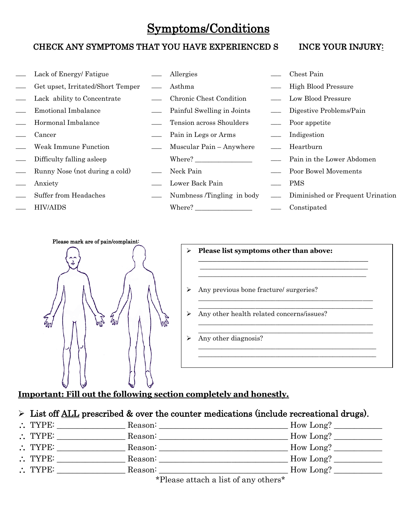## Symptoms/Conditions

## CHECK ANY SYMPTOMS THAT YOU HAVE EXPERIENCED S INCE YOUR INJURY:

| Lack of Energy/ Fatigue           | Allergies                  | Chest Pain                             |
|-----------------------------------|----------------------------|----------------------------------------|
| Get upset, Irritated/Short Temper | Asthma                     | <b>High Blood Pressure</b>             |
| Lack ability to Concentrate       | Chronic Chest Condition    | Low Blood Pressure                     |
| Emotional Imbalance               | Painful Swelling in Joints | Digestive Problems/Pain                |
| Hormonal Imbalance                | Tension across Shoulders   | Poor appetite                          |
| Cancer                            | Pain in Legs or Arms       | Indigestion                            |
| Weak Immune Function              | Muscular Pain – Anywhere   | Heartburn                              |
| Difficulty falling asleep         | Where?                     | <u>equal</u> Pain in the Lower Abdomen |
| Runny Nose (not during a cold)    | Neck Pain                  | - Poor Bowel Movements                 |
| Anxiety                           | Lower Back Pain            | <b>PMS</b>                             |
| Suffer from Headaches             | Numbness /Tingling in body | - Diminished or Frequent Urination     |
| <b>HIV/AIDS</b>                   | Where?                     | Constipated                            |





|   | Any previous bone fracture/ surgeries?    |
|---|-------------------------------------------|
| ⋗ | Any other health related concerns/issues? |
|   | Any other diagnosis?                      |

## **Important: Fill out the following section completely and honestly.**

## $\triangleright$  List off ALL prescribed & over the counter medications (include recreational drugs).

| $\therefore$ TYPE: | Reason:                                                                                                                                                                                                                         | How Long? |
|--------------------|---------------------------------------------------------------------------------------------------------------------------------------------------------------------------------------------------------------------------------|-----------|
| $\therefore$ TYPE: | Reason:                                                                                                                                                                                                                         | How Long? |
| $\therefore$ TYPE: | Reason:                                                                                                                                                                                                                         | How Long? |
| $\therefore$ TYPE: | Reason:                                                                                                                                                                                                                         | How Long? |
| $\therefore$ TYPE: | Reason:                                                                                                                                                                                                                         | How Long? |
|                    | $\sim$ . The set of the set of the set of the set of the set of the set of the set of the set of the set of the set of the set of the set of the set of the set of the set of the set of the set of the set of the set of the s |           |

\*Please attach a list of any others\*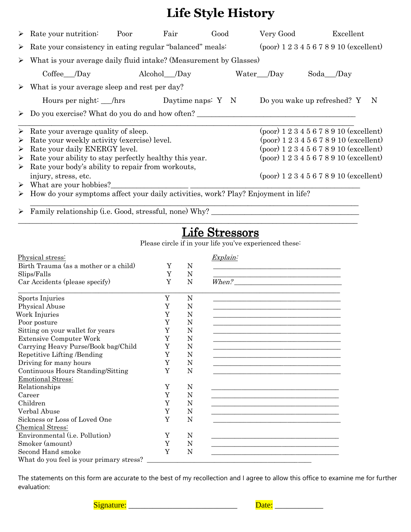# **Life Style History**

|   | $\triangleright$ Rate your nutrition:                                              | Poor | Fair           | Good | Very Good  | Excellent                                 |
|---|------------------------------------------------------------------------------------|------|----------------|------|------------|-------------------------------------------|
|   |                                                                                    |      |                |      |            |                                           |
|   | $\triangleright$ Rate your consistency in eating regular "balanced" meals:         |      |                |      |            | $(poor)$ 1 2 3 4 5 6 7 8 9 10 (excellent) |
|   | $\triangleright$ What is your average daily fluid intake? (Measurement by Glasses) |      |                |      |            |                                           |
|   | Coffee /Day                                                                        |      | Alcohol___/Day |      | Water /Day | Soda <sub>___</sub> /Day                  |
|   | $\triangleright$ What is your average sleep and rest per day?                      |      |                |      |            |                                           |
|   | Hours per night: hrs Daytime naps: Y N                                             |      |                |      |            | Do you wake up refreshed? Y N             |
|   | $\triangleright$ Do you exercise? What do you do and how often?                    |      |                |      |            |                                           |
|   | $\triangleright$ Rate your average quality of sleep.                               |      |                |      |            | $(poor) 1 2 3 4 5 6 7 8 9 10 (excellent)$ |
| ➤ | Rate your weekly activity (exercise) level.                                        |      |                |      |            | $(poor)$ 1 2 3 4 5 6 7 8 9 10 (excellent) |
| ➤ | Rate your daily ENERGY level.                                                      |      |                |      |            | $(poor)$ 1 2 3 4 5 6 7 8 9 10 (excellent) |
|   | $\triangleright$ Rate your ability to stay perfectly healthy this year.            |      |                |      |            | $(poor)$ 1 2 3 4 5 6 7 8 9 10 (excellent) |
| ➤ | Rate your body's ability to repair from workouts,                                  |      |                |      |            |                                           |
|   | injury, stress, etc.                                                               |      |                |      |            | $(poor)$ 1 2 3 4 5 6 7 8 9 10 (excellent) |
|   | $\triangleright$ What are your hobbies?                                            |      |                |      |            |                                           |
| ➤ | How do your symptoms affect your daily activities, work? Play? Enjoyment in life?  |      |                |      |            |                                           |
|   |                                                                                    |      |                |      |            |                                           |

➢ Family relationship (i.e. Good, stressful, none) Why? \_\_\_\_\_\_\_\_\_\_\_\_\_\_\_\_\_\_\_\_\_\_\_\_\_\_\_\_\_\_\_\_\_\_\_\_\_\_\_\_

## Life Stressors

Please circle if in your life you've experienced these:

|   |   | Explain: |
|---|---|----------|
| Y | N |          |
| Y | N |          |
| Y | N | When?    |
| Y | N |          |
| Y | N |          |
| Y | N |          |
|   | N |          |
| Y | N |          |
| Y | N |          |
| Y | N |          |
| Y | N |          |
| Y | N |          |
| Y | N |          |
|   |   |          |
| Y | N |          |
| Y | N |          |
| Y | N |          |
| Y | N |          |
| Y | N |          |
|   |   |          |
| Y | N |          |
| Y | N |          |
| Y | N |          |
|   |   |          |
|   | Y |          |

The statements on this form are accurate to the best of my recollection and I agree to allow this office to examine me for further evaluation:

Signature: \_\_\_\_\_\_\_\_\_\_\_\_\_\_\_\_\_\_\_\_\_\_\_\_\_\_\_ Date: \_\_\_\_\_\_\_\_\_\_\_\_